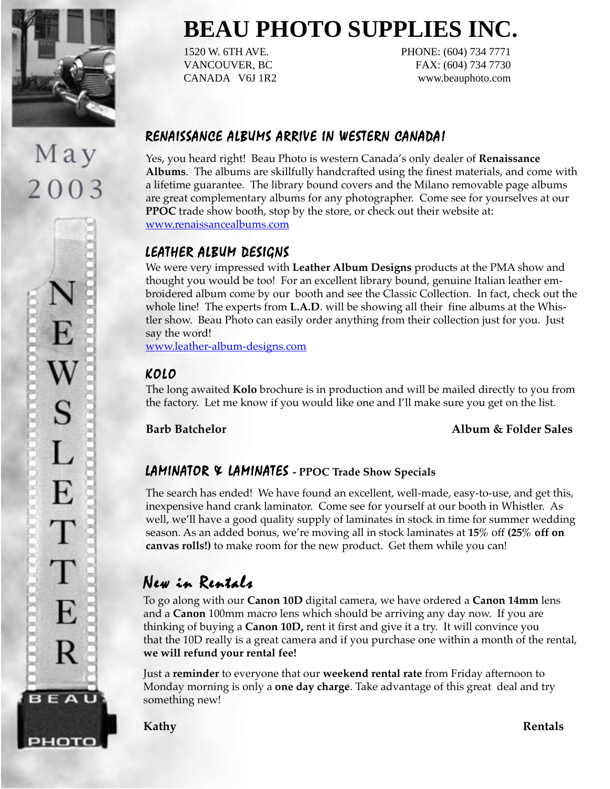

May

2003

E

S

L

E

T

T

E

R

**BEAU** 

рното

# **BEAU PHOTO SUPPLIES INC.**

1520 W. 6TH AVE. PHONE: (604) 734 7771 VANCOUVER, BC FAX: (604) 734 7730 CANADA V6J 1R2 www.beauphoto.com

# RENAISSANCE ALBUMS ARRIVE IN WESTERN CANADA!

Yes, you heard right! Beau Photo is western Canada's only dealer of **Renaissance Albums**. The albums are skillfully handcrafted using the finest materials, and come with a lifetime guarantee. The library bound covers and the Milano removable page albums are great complementary albums for any photographer. Come see for yourselves at our **PPOC** trade show booth, stop by the store, or check out their website at: www.renaissancealbums.com

# LEATHER ALBUM DESIGNS

We were very impressed with **Leather Album Designs** products at the PMA show and thought you would be too! For an excellent library bound, genuine Italian leather embroidered album come by our booth and see the Classic Collection. In fact, check out the whole line! The experts from **L.A.D**. will be showing all their fine albums at the Whistler show. Beau Photo can easily order anything from their collection just for you. Just say the word!

www.leather-album-designs.com

# KOLO

The long awaited **Kolo** brochure is in production and will be mailed directly to you from the factory. Let me know if you would like one and I'll make sure you get on the list.

## **Barb Batchelor Album & Folder Sales**

# LAMINATOR & LAMINATES - PPOC Trade Show Specials

The search has ended! We have found an excellent, well-made, easy-to-use, and get this, inexpensive hand crank laminator. Come see for yourself at our booth in Whistler. As well, we'll have a good quality supply of laminates in stock in time for summer wedding season. As an added bonus, we're moving all in stock laminates at **15%** off **(25% off on canvas rolls!)** to make room for the new product. Get them while you can!

# New in Rentals

To go along with our **Canon 10D** digital camera, we have ordered a **Canon 14mm** lens and a **Canon** 100mm macro lens which should be arriving any day now. If you are thinking of buying a **Canon 10D,** rent it first and give it a try. It will convince you that the 10D really is a great camera and if you purchase one within a month of the rental, **we will refund your rental fee!**

Just a **reminder** to everyone that our **weekend rental rate** from Friday afternoon to Monday morning is only a **one day charge**. Take advantage of this great deal and try something new!

**Kathy Rentals**